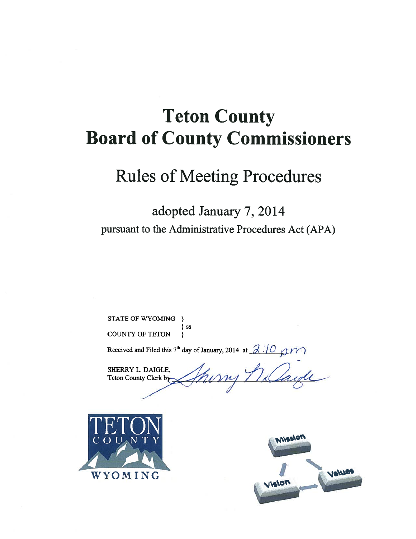# Teton County Board of County Commissioners

## Rules of Meeting Procedures

## adopted January 7, 2014 pursuant to the Administrative Procedures Act (APA)

STATE OF WYOMING } } ss COUNTY OF TETON

Received and Filed this 7<sup>th</sup> day of January, 2014 at  $\frac{\partial}{\partial \theta}$  (O  $\beta$ )

SHERRY L. DAIGLE, Teton County Clerk by



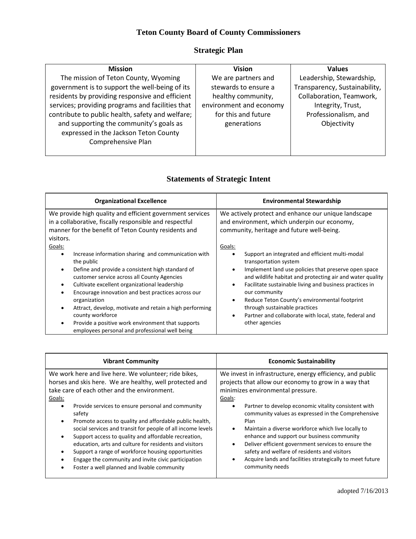### **Teton County Board of County Commissioners**

### **Strategic Plan**

| <b>Mission</b>                                   | <b>Vision</b>           | <b>Values</b>                 |
|--------------------------------------------------|-------------------------|-------------------------------|
| The mission of Teton County, Wyoming             | We are partners and     | Leadership, Stewardship,      |
| government is to support the well-being of its   | stewards to ensure a    | Transparency, Sustainability, |
| residents by providing responsive and efficient  | healthy community,      | Collaboration, Teamwork,      |
| services; providing programs and facilities that | environment and economy | Integrity, Trust,             |
| contribute to public health, safety and welfare; | for this and future     | Professionalism, and          |
| and supporting the community's goals as          | generations             | Objectivity                   |
| expressed in the Jackson Teton County            |                         |                               |
| Comprehensive Plan                               |                         |                               |
|                                                  |                         |                               |

### **Statements of Strategic Intent**

| <b>Organizational Excellence</b>                                                                                                                                                                                                                                                                                                                                                                                                                                                                                     | <b>Environmental Stewardship</b>                                                                                                                                                                                                                                                                                                                                                                                                                                                              |
|----------------------------------------------------------------------------------------------------------------------------------------------------------------------------------------------------------------------------------------------------------------------------------------------------------------------------------------------------------------------------------------------------------------------------------------------------------------------------------------------------------------------|-----------------------------------------------------------------------------------------------------------------------------------------------------------------------------------------------------------------------------------------------------------------------------------------------------------------------------------------------------------------------------------------------------------------------------------------------------------------------------------------------|
| We provide high quality and efficient government services<br>in a collaborative, fiscally responsible and respectful<br>manner for the benefit of Teton County residents and<br>visitors.                                                                                                                                                                                                                                                                                                                            | We actively protect and enhance our unique landscape<br>and environment, which underpin our economy,<br>community, heritage and future well-being.                                                                                                                                                                                                                                                                                                                                            |
| Goals:<br>Increase information sharing and communication with<br>٠<br>the public<br>Define and provide a consistent high standard of<br>٠<br>customer service across all County Agencies<br>Cultivate excellent organizational leadership<br>٠<br>Encourage innovation and best practices across our<br>organization<br>Attract, develop, motivate and retain a high performing<br>٠<br>county workforce<br>Provide a positive work environment that supports<br>٠<br>employees personal and professional well being | Goals:<br>Support an integrated and efficient multi-modal<br>transportation system<br>Implement land use policies that preserve open space<br>٠<br>and wildlife habitat and protecting air and water quality<br>Facilitate sustainable living and business practices in<br>$\bullet$<br>our community<br>Reduce Teton County's environmental footprint<br>$\bullet$<br>through sustainable practices<br>Partner and collaborate with local, state, federal and<br>$\bullet$<br>other agencies |

| <b>Vibrant Community</b>                                                                                                                                                                                                                                                                                                                                                                                                                                                                                                                                                                                                                                                     | <b>Economic Sustainability</b>                                                                                                                                                                                                                                                                                                                                                                                                                                                                                                                                                      |
|------------------------------------------------------------------------------------------------------------------------------------------------------------------------------------------------------------------------------------------------------------------------------------------------------------------------------------------------------------------------------------------------------------------------------------------------------------------------------------------------------------------------------------------------------------------------------------------------------------------------------------------------------------------------------|-------------------------------------------------------------------------------------------------------------------------------------------------------------------------------------------------------------------------------------------------------------------------------------------------------------------------------------------------------------------------------------------------------------------------------------------------------------------------------------------------------------------------------------------------------------------------------------|
| We work here and live here. We volunteer; ride bikes,<br>horses and skis here. We are healthy, well protected and<br>take care of each other and the environment.<br>Goals:<br>Provide services to ensure personal and community<br>$\bullet$<br>safety<br>Promote access to quality and affordable public health,<br>$\bullet$<br>social services and transit for people of all income levels<br>Support access to quality and affordable recreation,<br>education, arts and culture for residents and visitors<br>Support a range of workforce housing opportunities<br>Engage the community and invite civic participation<br>Foster a well planned and livable community | We invest in infrastructure, energy efficiency, and public<br>projects that allow our economy to grow in a way that<br>minimizes environmental pressure.<br>Goals:<br>Partner to develop economic vitality consistent with<br>community values as expressed in the Comprehensive<br>Plan<br>Maintain a diverse workforce which live locally to<br>enhance and support our business community<br>Deliver efficient government services to ensure the<br>safety and welfare of residents and visitors<br>Acquire lands and facilities strategically to meet future<br>community needs |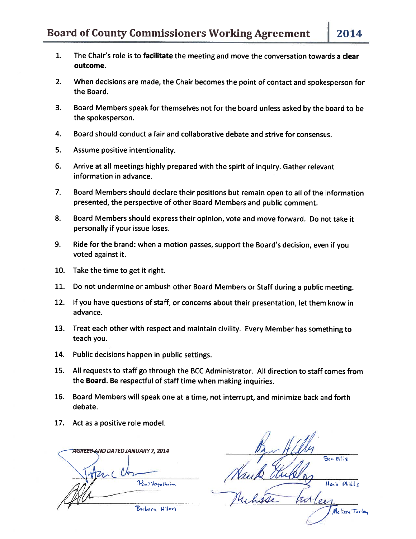- 1. The Chair's role is to facilitate the meeting and move the conversation towards <sup>a</sup> clear outcome.
- 2. When decisions are made, the Chair becomes the point of contact and spokesperson for the Board.
- 3. Board Members speak for themselves not for the board unless asked by the board to be the spokesperson.
- 4. Board should conduct a fair and collaborative debate and strive for consensus.
- 5. Assume positive intentionality.
- 6. Arrive at all meetings highly prepared with the spirit of inquiry. Gather relevant information in advance.
- 7. Board Members should declare their positions but remain open to all of the information presented, the perspective of other Board Members and public comment.
- 8. Board Members should express their opinion, vote and move forward. Do not take it personally if your issue loses.
- 9. Ride for the brand: when <sup>a</sup> motion passes, support the Board's decision, even if you voted against it.
- 10. Take the time to get it right.
- 11. Do not undermine or ambush other Board Members or Staff during <sup>a</sup> public meeting.
- 12. If you have questions of staff, or concerns about their presentation, let them know in advance.
- 13. Treat each other with respect and maintain civility. Every Member has something to teach you.
- 14. Public decisions happen in public settings.
- 15. All requests to staff go through the BCC Administrator. All direction to staff comes from the Board. Be respectful of staff time when making inquiries.
- 16. Board Members will speak one at <sup>a</sup> time, not interrupt, and minimize back and forth debate.
- 17. Act as a positive role model.

**AGREED AND DATED JANUARY 7, 2014** Paul Vogelheim Barbara Allen

Ben Ellis Henk Phill tit Melissa Turley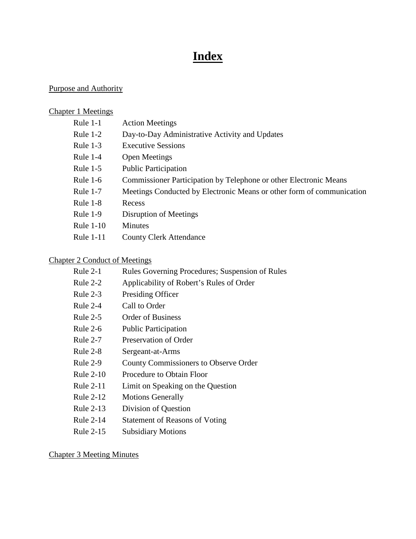## **Index**

### Purpose and Authority

### Chapter 1 Meetings

| Rule $1-1$       | <b>Action Meetings</b>                                                |
|------------------|-----------------------------------------------------------------------|
| Rule $1-2$       | Day-to-Day Administrative Activity and Updates                        |
| Rule $1-3$       | <b>Executive Sessions</b>                                             |
| Rule $1-4$       | <b>Open Meetings</b>                                                  |
| Rule $1-5$       | <b>Public Participation</b>                                           |
| Rule $1-6$       | Commissioner Participation by Telephone or other Electronic Means     |
| Rule $1-7$       | Meetings Conducted by Electronic Means or other form of communication |
| Rule $1-8$       | Recess                                                                |
| Rule $1-9$       | Disruption of Meetings                                                |
| <b>Rule 1-10</b> | <b>Minutes</b>                                                        |
| <b>Rule 1-11</b> | <b>County Clerk Attendance</b>                                        |

### Chapter 2 Conduct of Meetings

| Rule $2-1$       | Rules Governing Procedures; Suspension of Rules |
|------------------|-------------------------------------------------|
| Rule $2-2$       | Applicability of Robert's Rules of Order        |
| Rule $2-3$       | Presiding Officer                               |
| Rule $2-4$       | Call to Order                                   |
| Rule $2-5$       | <b>Order of Business</b>                        |
| Rule $2-6$       | <b>Public Participation</b>                     |
| Rule $2-7$       | Preservation of Order                           |
| Rule $2-8$       | Sergeant-at-Arms                                |
| Rule $2-9$       | <b>County Commissioners to Observe Order</b>    |
| Rule $2-10$      | Procedure to Obtain Floor                       |
| <b>Rule 2-11</b> | Limit on Speaking on the Question               |
| Rule 2-12        | <b>Motions Generally</b>                        |
| <b>Rule 2-13</b> | Division of Question                            |
| <b>Rule 2-14</b> | <b>Statement of Reasons of Voting</b>           |
| <b>Rule 2-15</b> | <b>Subsidiary Motions</b>                       |
|                  |                                                 |

Chapter 3 Meeting Minutes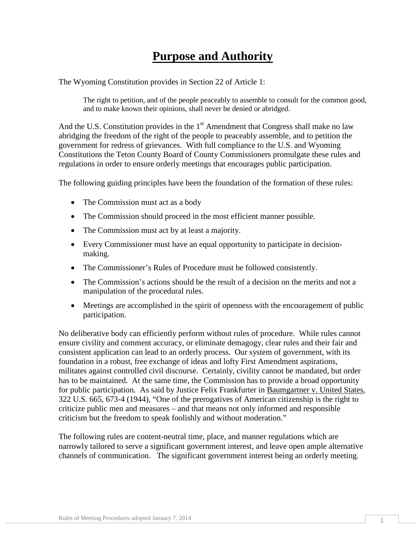## **Purpose and Authority**

The Wyoming Constitution provides in Section 22 of Article 1:

The right to petition, and of the people peaceably to assemble to consult for the common good, and to make known their opinions, shall never be denied or abridged.

And the U.S. Constitution provides in the  $1<sup>st</sup>$  Amendment that Congress shall make no law abridging the freedom of the right of the people to peaceably assemble, and to petition the government for redress of grievances. With full compliance to the U.S. and Wyoming Constitutions the Teton County Board of County Commissioners promulgate these rules and regulations in order to ensure orderly meetings that encourages public participation.

The following guiding principles have been the foundation of the formation of these rules:

- The Commission must act as a body
- The Commission should proceed in the most efficient manner possible.
- The Commission must act by at least a majority.
- Every Commissioner must have an equal opportunity to participate in decisionmaking.
- The Commissioner's Rules of Procedure must be followed consistently.
- The Commission's actions should be the result of a decision on the merits and not a manipulation of the procedural rules.
- Meetings are accomplished in the spirit of openness with the encouragement of public participation.

No deliberative body can efficiently perform without rules of procedure. While rules cannot ensure civility and comment accuracy, or eliminate demagogy, clear rules and their fair and consistent application can lead to an orderly process. Our system of government, with its foundation in a robust, free exchange of ideas and lofty First Amendment aspirations, militates against controlled civil discourse. Certainly, civility cannot be mandated, but order has to be maintained. At the same time, the Commission has to provide a broad opportunity for public participation. As said by Justice Felix Frankfurter in Baumgartner v. United States, 322 U.S. 665, 673-4 (1944), "One of the prerogatives of American citizenship is the right to criticize public men and measures – and that means not only informed and responsible criticism but the freedom to speak foolishly and without moderation."

The following rules are content-neutral time, place, and manner regulations which are narrowly tailored to serve a significant government interest, and leave open ample alternative channels of communication. The significant government interest being an orderly meeting.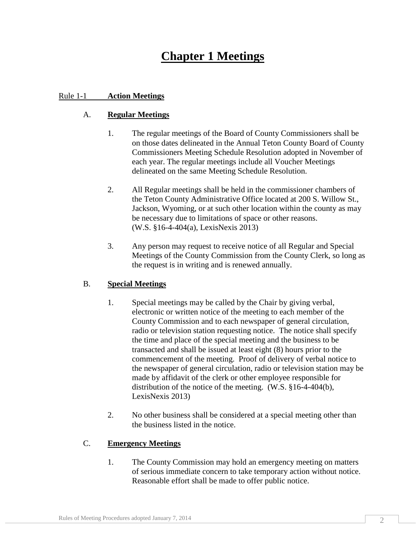## **Chapter 1 Meetings**

#### Rule 1-1 **Action Meetings**

#### A. **Regular Meetings**

- 1. The regular meetings of the Board of County Commissioners shall be on those dates delineated in the Annual Teton County Board of County Commissioners Meeting Schedule Resolution adopted in November of each year. The regular meetings include all Voucher Meetings delineated on the same Meeting Schedule Resolution.
- 2. All Regular meetings shall be held in the commissioner chambers of the Teton County Administrative Office located at 200 S. Willow St., Jackson, Wyoming, or at such other location within the county as may be necessary due to limitations of space or other reasons. (W.S. §16-4-404(a), LexisNexis 2013)
- 3. Any person may request to receive notice of all Regular and Special Meetings of the County Commission from the County Clerk, so long as the request is in writing and is renewed annually.

#### B. **Special Meetings**

- 1. Special meetings may be called by the Chair by giving verbal, electronic or written notice of the meeting to each member of the County Commission and to each newspaper of general circulation, radio or television station requesting notice. The notice shall specify the time and place of the special meeting and the business to be transacted and shall be issued at least eight (8) hours prior to the commencement of the meeting. Proof of delivery of verbal notice to the newspaper of general circulation, radio or television station may be made by affidavit of the clerk or other employee responsible for distribution of the notice of the meeting. (W.S. §16-4-404(b), LexisNexis 2013)
- 2. No other business shall be considered at a special meeting other than the business listed in the notice.

#### C. **Emergency Meetings**

1. The County Commission may hold an emergency meeting on matters of serious immediate concern to take temporary action without notice. Reasonable effort shall be made to offer public notice.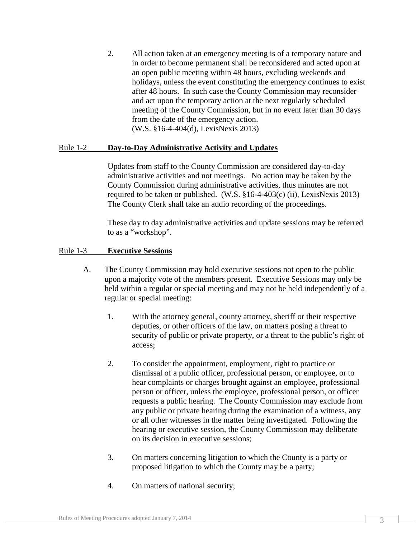2. All action taken at an emergency meeting is of a temporary nature and in order to become permanent shall be reconsidered and acted upon at an open public meeting within 48 hours, excluding weekends and holidays, unless the event constituting the emergency continues to exist after 48 hours. In such case the County Commission may reconsider and act upon the temporary action at the next regularly scheduled meeting of the County Commission, but in no event later than 30 days from the date of the emergency action. (W.S. §16-4-404(d), LexisNexis 2013)

#### Rule 1-2 **Day-to-Day Administrative Activity and Updates**

Updates from staff to the County Commission are considered day-to-day administrative activities and not meetings. No action may be taken by the County Commission during administrative activities, thus minutes are not required to be taken or published. (W.S. §16-4-403(c) (ii), LexisNexis 2013) The County Clerk shall take an audio recording of the proceedings.

These day to day administrative activities and update sessions may be referred to as a "workshop".

#### Rule 1-3 **Executive Sessions**

- A. The County Commission may hold executive sessions not open to the public upon a majority vote of the members present. Executive Sessions may only be held within a regular or special meeting and may not be held independently of a regular or special meeting:
	- 1. With the attorney general, county attorney, sheriff or their respective deputies, or other officers of the law, on matters posing a threat to security of public or private property, or a threat to the public's right of access;
	- 2. To consider the appointment, employment, right to practice or dismissal of a public officer, professional person, or employee, or to hear complaints or charges brought against an employee, professional person or officer, unless the employee, professional person, or officer requests a public hearing. The County Commission may exclude from any public or private hearing during the examination of a witness, any or all other witnesses in the matter being investigated. Following the hearing or executive session, the County Commission may deliberate on its decision in executive sessions;
	- 3. On matters concerning litigation to which the County is a party or proposed litigation to which the County may be a party;
	- 4. On matters of national security;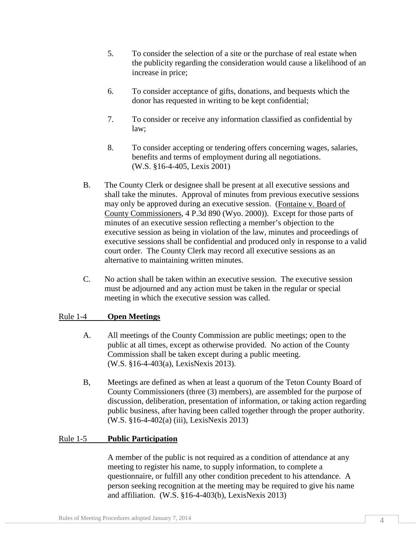- 5. To consider the selection of a site or the purchase of real estate when the publicity regarding the consideration would cause a likelihood of an increase in price;
- 6. To consider acceptance of gifts, donations, and bequests which the donor has requested in writing to be kept confidential;
- 7. To consider or receive any information classified as confidential by law;
- 8. To consider accepting or tendering offers concerning wages, salaries, benefits and terms of employment during all negotiations. (W.S. §16-4-405, Lexis 2001)
- B. The County Clerk or designee shall be present at all executive sessions and shall take the minutes. Approval of minutes from previous executive sessions may only be approved during an executive session. (Fontaine v. Board of County Commissioners, 4 P.3d 890 (Wyo. 2000)). Except for those parts of minutes of an executive session reflecting a member's objection to the executive session as being in violation of the law, minutes and proceedings of executive sessions shall be confidential and produced only in response to a valid court order. The County Clerk may record all executive sessions as an alternative to maintaining written minutes.
- C. No action shall be taken within an executive session. The executive session must be adjourned and any action must be taken in the regular or special meeting in which the executive session was called.

#### Rule 1-4 **Open Meetings**

- A. All meetings of the County Commission are public meetings; open to the public at all times, except as otherwise provided. No action of the County Commission shall be taken except during a public meeting. (W.S. §16-4-403(a), LexisNexis 2013).
- B, Meetings are defined as when at least a quorum of the Teton County Board of County Commissioners (three (3) members), are assembled for the purpose of discussion, deliberation, presentation of information, or taking action regarding public business, after having been called together through the proper authority. (W.S. §16-4-402(a) (iii), LexisNexis 2013)

#### Rule 1-5 **Public Participation**

A member of the public is not required as a condition of attendance at any meeting to register his name, to supply information, to complete a questionnaire, or fulfill any other condition precedent to his attendance. A person seeking recognition at the meeting may be required to give his name and affiliation. (W.S. §16-4-403(b), LexisNexis 2013)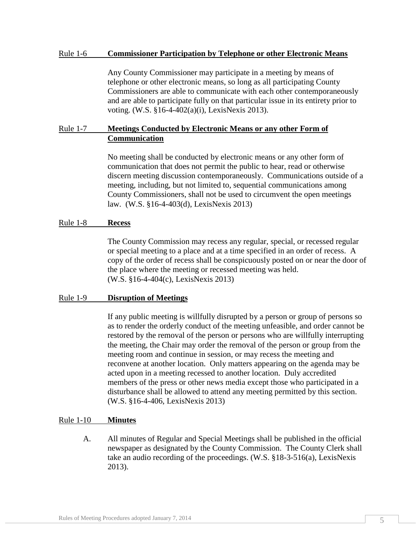#### Rule 1-6 **Commissioner Participation by Telephone or other Electronic Means**

Any County Commissioner may participate in a meeting by means of telephone or other electronic means, so long as all participating County Commissioners are able to communicate with each other contemporaneously and are able to participate fully on that particular issue in its entirety prior to voting. (W.S. §16-4-402(a)(i), LexisNexis 2013).

#### Rule 1-7 **Meetings Conducted by Electronic Means or any other Form of Communication**

No meeting shall be conducted by electronic means or any other form of communication that does not permit the public to hear, read or otherwise discern meeting discussion contemporaneously. Communications outside of a meeting, including, but not limited to, sequential communications among County Commissioners, shall not be used to circumvent the open meetings law. (W.S. §16-4-403(d), LexisNexis 2013)

#### Rule 1-8 **Recess**

The County Commission may recess any regular, special, or recessed regular or special meeting to a place and at a time specified in an order of recess. A copy of the order of recess shall be conspicuously posted on or near the door of the place where the meeting or recessed meeting was held. (W.S. §16-4-404(c), LexisNexis 2013)

#### Rule 1-9 **Disruption of Meetings**

If any public meeting is willfully disrupted by a person or group of persons so as to render the orderly conduct of the meeting unfeasible, and order cannot be restored by the removal of the person or persons who are willfully interrupting the meeting, the Chair may order the removal of the person or group from the meeting room and continue in session, or may recess the meeting and reconvene at another location. Only matters appearing on the agenda may be acted upon in a meeting recessed to another location. Duly accredited members of the press or other news media except those who participated in a disturbance shall be allowed to attend any meeting permitted by this section. (W.S. §16-4-406, LexisNexis 2013)

#### Rule 1-10 **Minutes**

A. All minutes of Regular and Special Meetings shall be published in the official newspaper as designated by the County Commission. The County Clerk shall take an audio recording of the proceedings. (W.S. §18-3-516(a), LexisNexis 2013).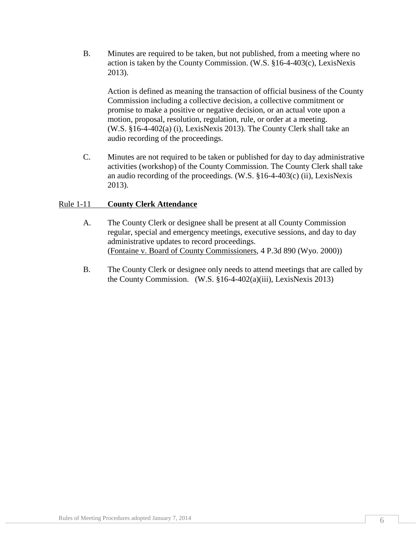B. Minutes are required to be taken, but not published, from a meeting where no action is taken by the County Commission. (W.S. §16-4-403(c), LexisNexis 2013).

Action is defined as meaning the transaction of official business of the County Commission including a collective decision, a collective commitment or promise to make a positive or negative decision, or an actual vote upon a motion, proposal, resolution, regulation, rule, or order at a meeting. (W.S. §16-4-402(a) (i), LexisNexis 2013). The County Clerk shall take an audio recording of the proceedings.

C. Minutes are not required to be taken or published for day to day administrative activities (workshop) of the County Commission. The County Clerk shall take an audio recording of the proceedings. (W.S. §16-4-403(c) (ii), LexisNexis 2013).

#### Rule 1-11 **County Clerk Attendance**

- A. The County Clerk or designee shall be present at all County Commission regular, special and emergency meetings, executive sessions, and day to day administrative updates to record proceedings. (Fontaine v. Board of County Commissioners, 4 P.3d 890 (Wyo. 2000))
- B. The County Clerk or designee only needs to attend meetings that are called by the County Commission. (W.S. §16-4-402(a)(iii), LexisNexis 2013)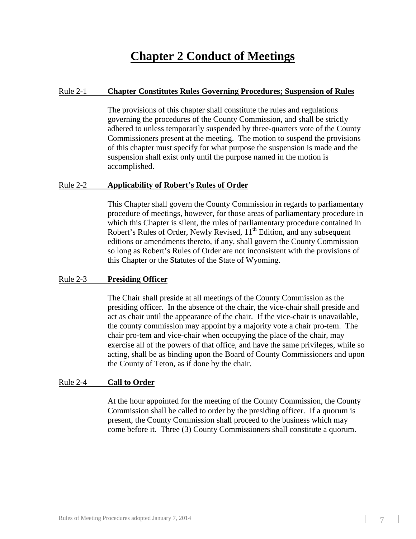### **Chapter 2 Conduct of Meetings**

#### Rule 2-1 **Chapter Constitutes Rules Governing Procedures; Suspension of Rules**

The provisions of this chapter shall constitute the rules and regulations governing the procedures of the County Commission, and shall be strictly adhered to unless temporarily suspended by three-quarters vote of the County Commissioners present at the meeting. The motion to suspend the provisions of this chapter must specify for what purpose the suspension is made and the suspension shall exist only until the purpose named in the motion is accomplished.

#### Rule 2-2 **Applicability of Robert's Rules of Order**

This Chapter shall govern the County Commission in regards to parliamentary procedure of meetings, however, for those areas of parliamentary procedure in which this Chapter is silent, the rules of parliamentary procedure contained in Robert's Rules of Order, Newly Revised,  $11<sup>th</sup>$  Edition, and any subsequent editions or amendments thereto, if any, shall govern the County Commission so long as Robert's Rules of Order are not inconsistent with the provisions of this Chapter or the Statutes of the State of Wyoming.

#### Rule 2-3 **Presiding Officer**

The Chair shall preside at all meetings of the County Commission as the presiding officer. In the absence of the chair, the vice-chair shall preside and act as chair until the appearance of the chair. If the vice-chair is unavailable, the county commission may appoint by a majority vote a chair pro-tem. The chair pro-tem and vice-chair when occupying the place of the chair, may exercise all of the powers of that office, and have the same privileges, while so acting, shall be as binding upon the Board of County Commissioners and upon the County of Teton, as if done by the chair.

#### Rule 2-4 **Call to Order**

At the hour appointed for the meeting of the County Commission, the County Commission shall be called to order by the presiding officer. If a quorum is present, the County Commission shall proceed to the business which may come before it. Three (3) County Commissioners shall constitute a quorum.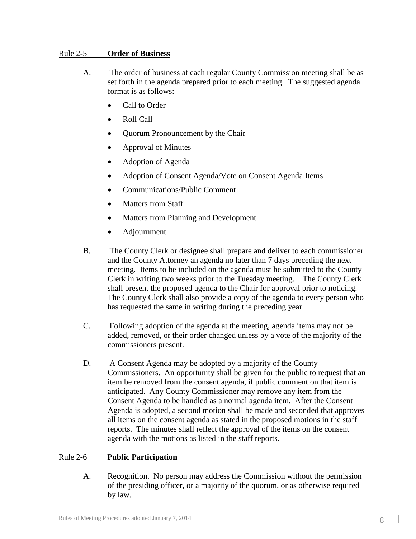#### Rule 2-5 **Order of Business**

- A. The order of business at each regular County Commission meeting shall be as set forth in the agenda prepared prior to each meeting. The suggested agenda format is as follows:
	- Call to Order
	- Roll Call
	- Quorum Pronouncement by the Chair
	- Approval of Minutes
	- Adoption of Agenda
	- Adoption of Consent Agenda/Vote on Consent Agenda Items
	- Communications/Public Comment
	- Matters from Staff
	- Matters from Planning and Development
	- Adjournment
- B. The County Clerk or designee shall prepare and deliver to each commissioner and the County Attorney an agenda no later than 7 days preceding the next meeting. Items to be included on the agenda must be submitted to the County Clerk in writing two weeks prior to the Tuesday meeting. The County Clerk shall present the proposed agenda to the Chair for approval prior to noticing. The County Clerk shall also provide a copy of the agenda to every person who has requested the same in writing during the preceding year.
- C. Following adoption of the agenda at the meeting, agenda items may not be added, removed, or their order changed unless by a vote of the majority of the commissioners present.
- D. A Consent Agenda may be adopted by a majority of the County Commissioners. An opportunity shall be given for the public to request that an item be removed from the consent agenda, if public comment on that item is anticipated. Any County Commissioner may remove any item from the Consent Agenda to be handled as a normal agenda item. After the Consent Agenda is adopted, a second motion shall be made and seconded that approves all items on the consent agenda as stated in the proposed motions in the staff reports. The minutes shall reflect the approval of the items on the consent agenda with the motions as listed in the staff reports.

#### Rule 2-6 **Public Participation**

A. Recognition. No person may address the Commission without the permission of the presiding officer, or a majority of the quorum, or as otherwise required by law.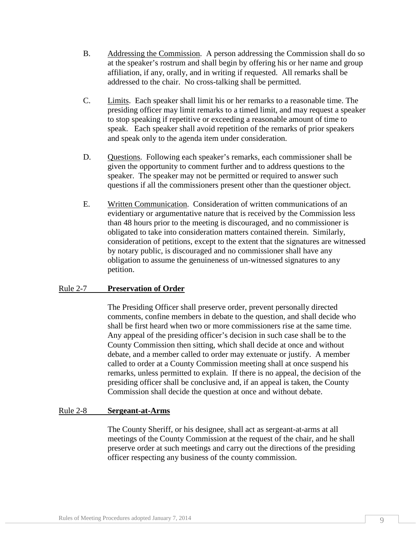- B. Addressing the Commission. A person addressing the Commission shall do so at the speaker's rostrum and shall begin by offering his or her name and group affiliation, if any, orally, and in writing if requested. All remarks shall be addressed to the chair. No cross-talking shall be permitted.
- C. Limits. Each speaker shall limit his or her remarks to a reasonable time. The presiding officer may limit remarks to a timed limit, and may request a speaker to stop speaking if repetitive or exceeding a reasonable amount of time to speak. Each speaker shall avoid repetition of the remarks of prior speakers and speak only to the agenda item under consideration.
- D. Questions. Following each speaker's remarks, each commissioner shall be given the opportunity to comment further and to address questions to the speaker. The speaker may not be permitted or required to answer such questions if all the commissioners present other than the questioner object.
- E. Written Communication. Consideration of written communications of an evidentiary or argumentative nature that is received by the Commission less than 48 hours prior to the meeting is discouraged, and no commissioner is obligated to take into consideration matters contained therein. Similarly, consideration of petitions, except to the extent that the signatures are witnessed by notary public, is discouraged and no commissioner shall have any obligation to assume the genuineness of un-witnessed signatures to any petition.

#### Rule 2-7 **Preservation of Order**

The Presiding Officer shall preserve order, prevent personally directed comments, confine members in debate to the question, and shall decide who shall be first heard when two or more commissioners rise at the same time. Any appeal of the presiding officer's decision in such case shall be to the County Commission then sitting, which shall decide at once and without debate, and a member called to order may extenuate or justify. A member called to order at a County Commission meeting shall at once suspend his remarks, unless permitted to explain. If there is no appeal, the decision of the presiding officer shall be conclusive and, if an appeal is taken, the County Commission shall decide the question at once and without debate.

#### Rule 2-8 **Sergeant-at-Arms**

The County Sheriff, or his designee, shall act as sergeant-at-arms at all meetings of the County Commission at the request of the chair, and he shall preserve order at such meetings and carry out the directions of the presiding officer respecting any business of the county commission.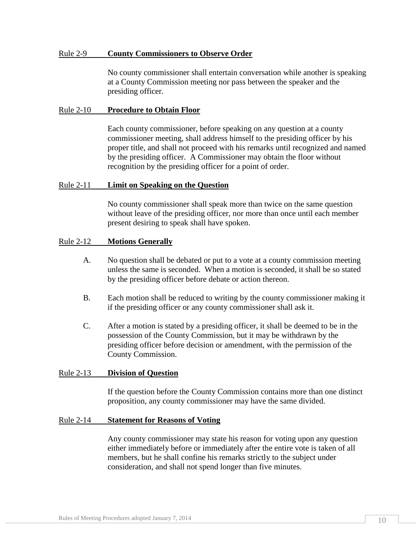#### Rule 2-9 **County Commissioners to Observe Order**

No county commissioner shall entertain conversation while another is speaking at a County Commission meeting nor pass between the speaker and the presiding officer.

#### Rule 2-10 **Procedure to Obtain Floor**

Each county commissioner, before speaking on any question at a county commissioner meeting, shall address himself to the presiding officer by his proper title, and shall not proceed with his remarks until recognized and named by the presiding officer. A Commissioner may obtain the floor without recognition by the presiding officer for a point of order.

#### Rule 2-11 **Limit on Speaking on the Question**

No county commissioner shall speak more than twice on the same question without leave of the presiding officer, nor more than once until each member present desiring to speak shall have spoken.

#### Rule 2-12 **Motions Generally**

- A. No question shall be debated or put to a vote at a county commission meeting unless the same is seconded. When a motion is seconded, it shall be so stated by the presiding officer before debate or action thereon.
- B. Each motion shall be reduced to writing by the county commissioner making it if the presiding officer or any county commissioner shall ask it.
- C. After a motion is stated by a presiding officer, it shall be deemed to be in the possession of the County Commission, but it may be withdrawn by the presiding officer before decision or amendment, with the permission of the County Commission.

#### Rule 2-13 **Division of Question**

If the question before the County Commission contains more than one distinct proposition, any county commissioner may have the same divided.

#### Rule 2-14 **Statement for Reasons of Voting**

Any county commissioner may state his reason for voting upon any question either immediately before or immediately after the entire vote is taken of all members, but he shall confine his remarks strictly to the subject under consideration, and shall not spend longer than five minutes.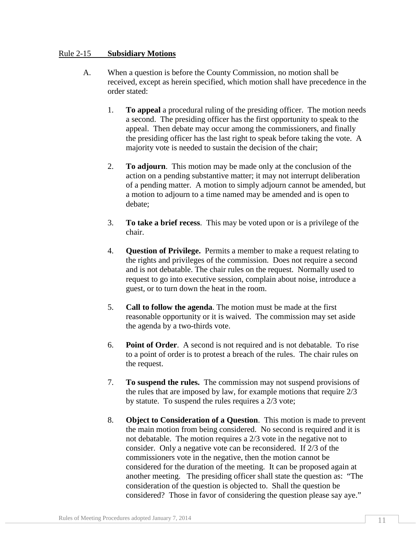#### Rule 2-15 **Subsidiary Motions**

- A. When a question is before the County Commission, no motion shall be received, except as herein specified, which motion shall have precedence in the order stated:
	- 1. **To appeal** a procedural ruling of the presiding officer. The motion needs a second. The presiding officer has the first opportunity to speak to the appeal. Then debate may occur among the commissioners, and finally the presiding officer has the last right to speak before taking the vote. A majority vote is needed to sustain the decision of the chair;
	- 2. **To adjourn**. This motion may be made only at the conclusion of the action on a pending substantive matter; it may not interrupt deliberation of a pending matter. A motion to simply adjourn cannot be amended, but a motion to adjourn to a time named may be amended and is open to debate;
	- 3. **To take a brief recess**. This may be voted upon or is a privilege of the chair.
	- 4. **Question of Privilege.** Permits a member to make a request relating to the rights and privileges of the commission. Does not require a second and is not debatable. The chair rules on the request. Normally used to request to go into executive session, complain about noise, introduce a guest, or to turn down the heat in the room.
	- 5. **Call to follow the agenda**. The motion must be made at the first reasonable opportunity or it is waived. The commission may set aside the agenda by a two-thirds vote.
	- 6. **Point of Order**. A second is not required and is not debatable. To rise to a point of order is to protest a breach of the rules. The chair rules on the request.
	- 7. **To suspend the rules.** The commission may not suspend provisions of the rules that are imposed by law, for example motions that require 2/3 by statute. To suspend the rules requires a 2/3 vote;
	- 8. **Object to Consideration of a Question**. This motion is made to prevent the main motion from being considered. No second is required and it is not debatable. The motion requires a 2/3 vote in the negative not to consider. Only a negative vote can be reconsidered. If 2/3 of the commissioners vote in the negative, then the motion cannot be considered for the duration of the meeting. It can be proposed again at another meeting. The presiding officer shall state the question as: "The consideration of the question is objected to. Shall the question be considered? Those in favor of considering the question please say aye."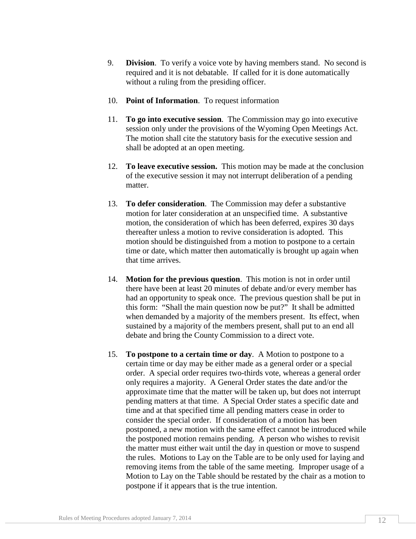- 9. **Division**.To verify a voice vote by having members stand. No second is required and it is not debatable. If called for it is done automatically without a ruling from the presiding officer.
- 10. **Point of Information**. To request information
- 11. **To go into executive session**. The Commission may go into executive session only under the provisions of the Wyoming Open Meetings Act. The motion shall cite the statutory basis for the executive session and shall be adopted at an open meeting.
- 12. **To leave executive session.** This motion may be made at the conclusion of the executive session it may not interrupt deliberation of a pending matter.
- 13. **To defer consideration**. The Commission may defer a substantive motion for later consideration at an unspecified time. A substantive motion, the consideration of which has been deferred, expires 30 days thereafter unless a motion to revive consideration is adopted. This motion should be distinguished from a motion to postpone to a certain time or date, which matter then automatically is brought up again when that time arrives.
- 14. **Motion for the previous question**. This motion is not in order until there have been at least 20 minutes of debate and/or every member has had an opportunity to speak once. The previous question shall be put in this form: "Shall the main question now be put?" It shall be admitted when demanded by a majority of the members present. Its effect, when sustained by a majority of the members present, shall put to an end all debate and bring the County Commission to a direct vote.
- 15. **To postpone to a certain time or day**. A Motion to postpone to a certain time or day may be either made as a general order or a special order. A special order requires two-thirds vote, whereas a general order only requires a majority. A General Order states the date and/or the approximate time that the matter will be taken up, but does not interrupt pending matters at that time. A Special Order states a specific date and time and at that specified time all pending matters cease in order to consider the special order. If consideration of a motion has been postponed, a new motion with the same effect cannot be introduced while the postponed motion remains pending. A person who wishes to revisit the matter must either wait until the day in question or move to suspend the rules. Motions to Lay on the Table are to be only used for laying and removing items from the table of the same meeting. Improper usage of a Motion to Lay on the Table should be restated by the chair as a motion to postpone if it appears that is the true intention.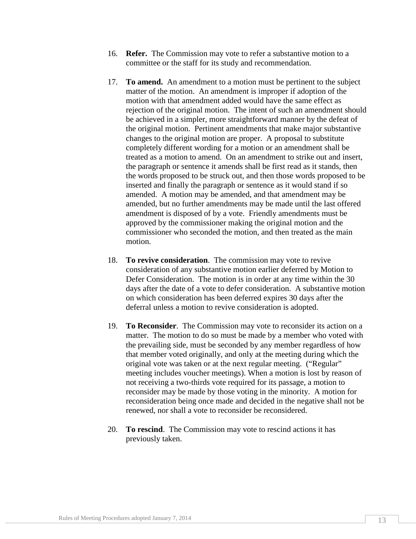- 16. **Refer.** The Commission may vote to refer a substantive motion to a committee or the staff for its study and recommendation.
- 17. **To amend.** An amendment to a motion must be pertinent to the subject matter of the motion. An amendment is improper if adoption of the motion with that amendment added would have the same effect as rejection of the original motion. The intent of such an amendment should be achieved in a simpler, more straightforward manner by the defeat of the original motion. Pertinent amendments that make major substantive changes to the original motion are proper. A proposal to substitute completely different wording for a motion or an amendment shall be treated as a motion to amend. On an amendment to strike out and insert, the paragraph or sentence it amends shall be first read as it stands, then the words proposed to be struck out, and then those words proposed to be inserted and finally the paragraph or sentence as it would stand if so amended. A motion may be amended, and that amendment may be amended, but no further amendments may be made until the last offered amendment is disposed of by a vote. Friendly amendments must be approved by the commissioner making the original motion and the commissioner who seconded the motion, and then treated as the main motion.
- 18. **To revive consideration**. The commission may vote to revive consideration of any substantive motion earlier deferred by Motion to Defer Consideration. The motion is in order at any time within the 30 days after the date of a vote to defer consideration. A substantive motion on which consideration has been deferred expires 30 days after the deferral unless a motion to revive consideration is adopted.
- 19. **To Reconsider**. The Commission may vote to reconsider its action on a matter. The motion to do so must be made by a member who voted with the prevailing side, must be seconded by any member regardless of how that member voted originally, and only at the meeting during which the original vote was taken or at the next regular meeting. ("Regular" meeting includes voucher meetings). When a motion is lost by reason of not receiving a two-thirds vote required for its passage, a motion to reconsider may be made by those voting in the minority. A motion for reconsideration being once made and decided in the negative shall not be renewed, nor shall a vote to reconsider be reconsidered.
- 20. **To rescind**. The Commission may vote to rescind actions it has previously taken.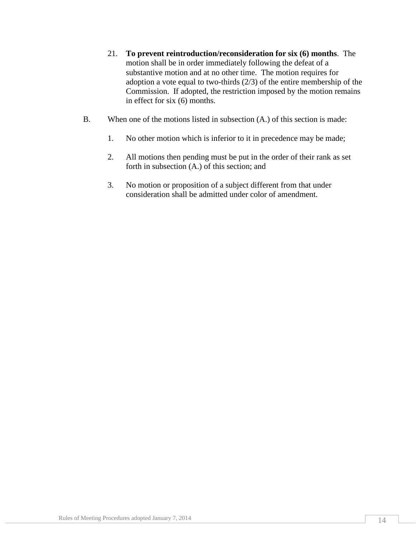- 21. **To prevent reintroduction/reconsideration for six (6) months**. The motion shall be in order immediately following the defeat of a substantive motion and at no other time. The motion requires for adoption a vote equal to two-thirds (2/3) of the entire membership of the Commission. If adopted, the restriction imposed by the motion remains in effect for six (6) months.
- B. When one of the motions listed in subsection (A.) of this section is made:
	- 1. No other motion which is inferior to it in precedence may be made;
	- 2. All motions then pending must be put in the order of their rank as set forth in subsection (A.) of this section; and
	- 3. No motion or proposition of a subject different from that under consideration shall be admitted under color of amendment.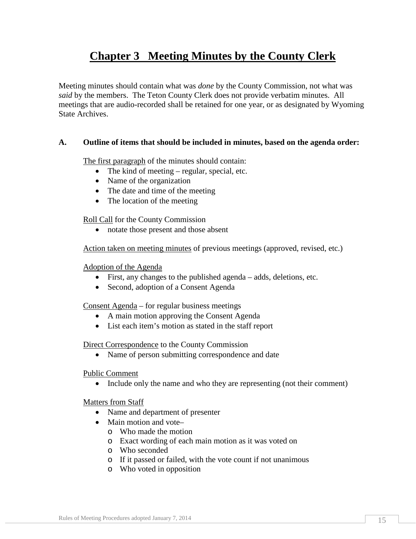## **Chapter 3 Meeting Minutes by the County Clerk**

Meeting minutes should contain what was *done* by the County Commission, not what was *said* by the members. The Teton County Clerk does not provide verbatim minutes. All meetings that are audio-recorded shall be retained for one year, or as designated by Wyoming State Archives.

#### **A. Outline of items that should be included in minutes, based on the agenda order:**

The first paragraph of the minutes should contain:

- The kind of meeting regular, special, etc.
- Name of the organization
- The date and time of the meeting
- The location of the meeting

Roll Call for the County Commission

• notate those present and those absent

Action taken on meeting minutes of previous meetings (approved, revised, etc.)

#### Adoption of the Agenda

- First, any changes to the published agenda adds, deletions, etc.
- Second, adoption of a Consent Agenda

Consent Agenda – for regular business meetings

- A main motion approving the Consent Agenda
- List each item's motion as stated in the staff report

#### Direct Correspondence to the County Commission

• Name of person submitting correspondence and date

#### Public Comment

• Include only the name and who they are representing (not their comment)

#### Matters from Staff

- Name and department of presenter
- Main motion and vote
	- o Who made the motion
	- o Exact wording of each main motion as it was voted on
	- o Who seconded
	- o If it passed or failed, with the vote count if not unanimous
	- o Who voted in opposition